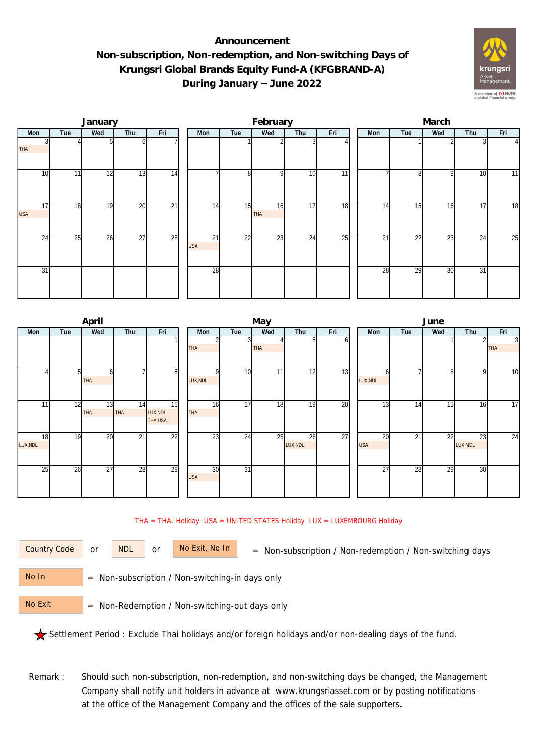## **Announcement Non-subscription, Non-redemption, and Non-switching Days of Krungsri Global Brands Equity Fund-A (KFGBRAND-A) During January – June 2022**



|                  |     | January |                 |                 |  |                  | February |           |                 | March           |     |                 |     |     |                |  |
|------------------|-----|---------|-----------------|-----------------|--|------------------|----------|-----------|-----------------|-----------------|-----|-----------------|-----|-----|----------------|--|
| Mon              | Tue | Wed     | Thu             | Fri             |  | Mon              | Tue      | Wed       | Thu             | Fri             | Mon | Tue             | Wed | Thu | Fri            |  |
| <b>THA</b>       |     |         | ωI              |                 |  |                  |          |           |                 |                 |     |                 |     |     | $\overline{4}$ |  |
| 10               | 11  | 12      | 13              | 14              |  |                  | 8        | οI        | 10              | $\overline{11}$ |     | 81              | 9   | 10  | 11             |  |
| 17<br><b>USA</b> | 18  | 19      | 20              | $\overline{21}$ |  | 14               | 15       | 16<br>THA | 17              | 18              | 14  | 15              | 16  | 17  | 18             |  |
| 24               | 25  | 26      | $\overline{27}$ | 28              |  | 21<br><b>USA</b> | 22       | 23        | $2\overline{4}$ | 25              | 21  | $2\overline{2}$ | 23  | 24  | 25             |  |
| $\overline{31}$  |     |         |                 |                 |  | 28               |          |           |                 |                 | 28  | 29              | 30  | 31  |                |  |

|          |     | April           |                 |                 |  |            |                 | May        |          |     | June            |     |     |                |                |  |
|----------|-----|-----------------|-----------------|-----------------|--|------------|-----------------|------------|----------|-----|-----------------|-----|-----|----------------|----------------|--|
| Mon      | Tue | Wed             | Thu             | Fri             |  | Mon        | Tue             | Wed        | Thu      | Fri | <b>Mon</b>      | Tue | Wed | Thu            | Fri            |  |
|          |     |                 |                 |                 |  |            |                 |            | n        | οı  |                 |     |     | $\overline{2}$ | $\overline{3}$ |  |
|          |     |                 |                 |                 |  | <b>THA</b> |                 | <b>THA</b> |          |     |                 |     |     |                | <b>THA</b>     |  |
|          |     |                 |                 |                 |  |            |                 |            |          |     |                 |     |     |                |                |  |
|          |     | ω               |                 | 8               |  | n          | 10              | 11         | 12       | 13  |                 |     | 8   | 9              | 10             |  |
|          |     | <b>THA</b>      |                 |                 |  | LUX, NDL   |                 |            |          |     | LUX, NDL        |     |     |                |                |  |
|          |     |                 |                 |                 |  |            |                 |            |          |     |                 |     |     |                |                |  |
| 11       | 12  | 13              | 14              | 15              |  | 16         | 17              | 18         | 19       | 20  | $1\overline{3}$ | 14  | 15  | 16             | 17             |  |
|          |     | <b>THA</b>      | <b>THA</b>      | LUX, NDL        |  | THA        |                 |            |          |     |                 |     |     |                |                |  |
|          |     |                 |                 | THA,USA         |  |            |                 |            |          |     |                 |     |     |                |                |  |
| 18       | 19  | $\overline{20}$ | $\overline{21}$ | $\overline{22}$ |  | 23         | 24              | 25         | 26       | 27  | 20              | 21  | 22  | 23             | 24             |  |
| LUX, NDL |     |                 |                 |                 |  |            |                 |            | LUX, NDL |     | <b>USA</b>      |     |     | LUX, NDL       |                |  |
|          |     |                 |                 |                 |  |            |                 |            |          |     |                 |     |     |                |                |  |
| 25       | 26  | 27              | 28              | 29              |  | 30         | $\overline{31}$ |            |          |     | $\overline{27}$ | 28  | 29  | 30             |                |  |
|          |     |                 |                 |                 |  | <b>USA</b> |                 |            |          |     |                 |     |     |                |                |  |
|          |     |                 |                 |                 |  |            |                 |            |          |     |                 |     |     |                |                |  |
|          |     |                 |                 |                 |  |            |                 |            |          |     |                 |     |     |                |                |  |

THA = THAI Holiday USA = UNITED STATES Holiday LUX = LUXEMBOURG Holiday

or NDL or

Country Code or NDL or No Exit, No In = Non-subscription / Non-redemption / Non-switching days

 = Non-subscription / Non-switching-in days only No In

 = Non-Redemption / Non-switching-out days only No Exit

Settlement Period : Exclude Thai holidays and/or foreign holidays and/or non-dealing days of the fund.

Remark : Should such non-subscription, non-redemption, and non-switching days be changed, the Management Company shall notify unit holders in advance at www.krungsriasset.com or by posting notifications at the office of the Management Company and the offices of the sale supporters.